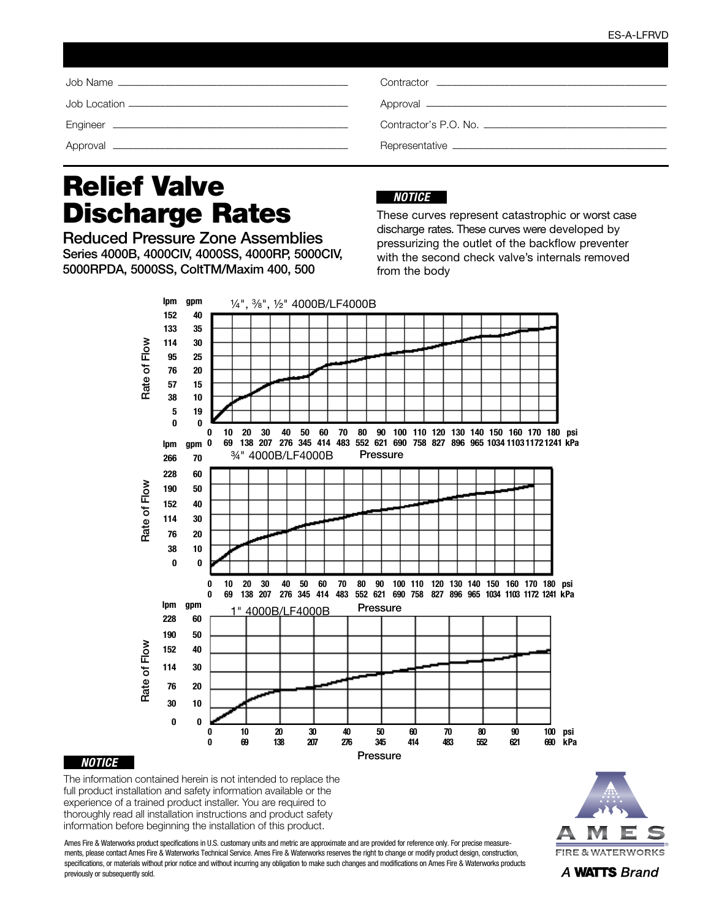| Contractor <u>experience</u> and the contractor |
|-------------------------------------------------|
|                                                 |
|                                                 |
|                                                 |

## Relief Valve Discharge Rates

Reduced Pressure Zone Assemblies Series 4000B, 4000CIV, 4000SS, 4000RP, 5000CIV, 5000RPDA, 5000SS, ColtTM/Maxim 400, 500

## *NOTICE*

These curves represent catastrophic or worst case discharge rates. These curves were developed by pressurizing the outlet of the backflow preventer with the second check valve's internals removed from the body





The information contained herein is not intended to replace the full product installation and safety information available or the experience of a trained product installer. You are required to thoroughly read all installation instructions and product safety information before beginning the installation of this product.

Ames Fire & Waterworks product specifications in U.S. customary units and metric are approximate and are provided for reference only. For precise measurements, please contact Ames Fire & Waterworks Technical Service. Ames Fire & Waterworks reserves the right to change or modify product design, construction, specifications, or materials without prior notice and without incurring any obligation to make such changes and modifications on Ames Fire & Waterworks products previously or subsequently sold.



A WATTS Brand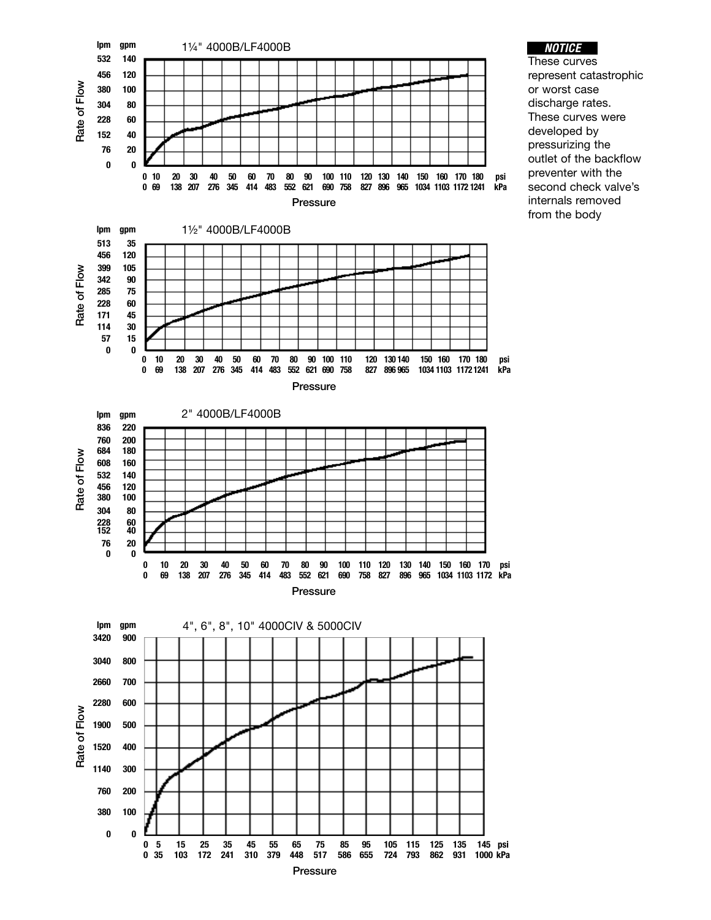

## *NOTICE*

These curves represent catastrophic or worst case discharge rates. These curves were developed by pressurizing the outlet of the backflow preventer with the second check valve's internals removed from the body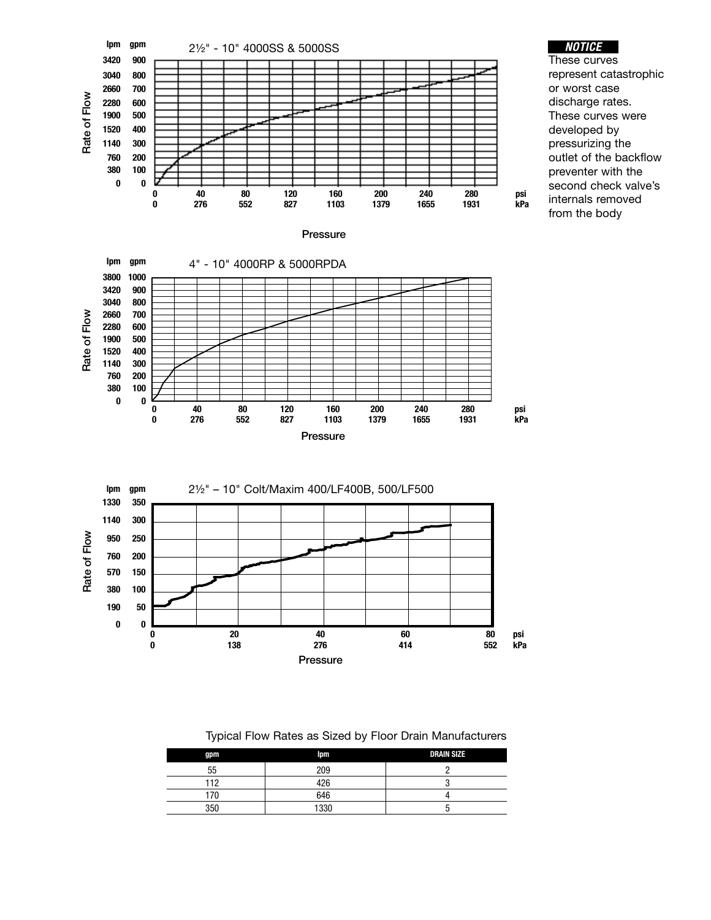



| gpm | Ipm  | <b>DRAIN SIZE</b> |
|-----|------|-------------------|
| 55  | 209  |                   |
| 112 | 426  |                   |
| 70  | 646  |                   |
| 350 | 1330 | ື                 |